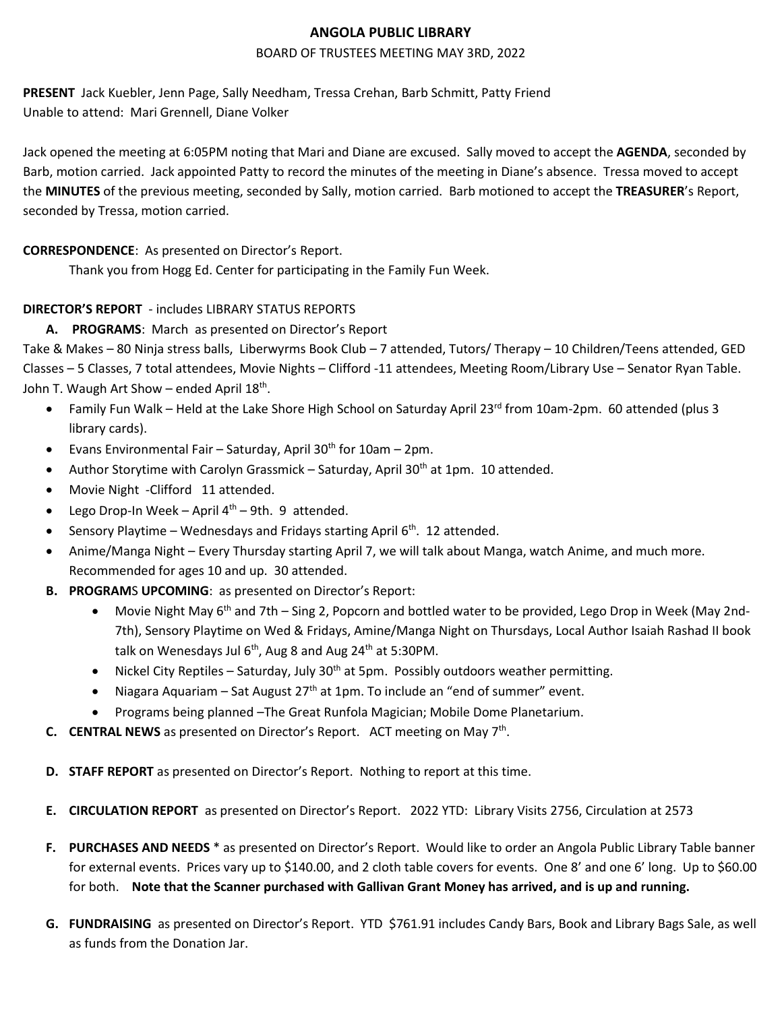### **ANGOLA PUBLIC LIBRARY**

#### BOARD OF TRUSTEES MEETING MAY 3RD, 2022

**PRESENT** Jack Kuebler, Jenn Page, Sally Needham, Tressa Crehan, Barb Schmitt, Patty Friend Unable to attend: Mari Grennell, Diane Volker

Jack opened the meeting at 6:05PM noting that Mari and Diane are excused. Sally moved to accept the **AGENDA**, seconded by Barb, motion carried. Jack appointed Patty to record the minutes of the meeting in Diane's absence. Tressa moved to accept the **MINUTES** of the previous meeting, seconded by Sally, motion carried. Barb motioned to accept the **TREASURER**'s Report, seconded by Tressa, motion carried.

### **CORRESPONDENCE**: As presented on Director's Report.

Thank you from Hogg Ed. Center for participating in the Family Fun Week.

# **DIRECTOR'S REPORT** - includes LIBRARY STATUS REPORTS

# **A. PROGRAMS**: March as presented on Director's Report

Take & Makes – 80 Ninja stress balls, Liberwyrms Book Club – 7 attended, Tutors/ Therapy – 10 Children/Teens attended, GED Classes – 5 Classes, 7 total attendees, Movie Nights – Clifford -11 attendees, Meeting Room/Library Use – Senator Ryan Table. John T. Waugh Art Show – ended April 18<sup>th</sup>.

- Family Fun Walk Held at the Lake Shore High School on Saturday April 23<sup>rd</sup> from 10am-2pm. 60 attended (plus 3 library cards).
- Evans Environmental Fair Saturday, April 30<sup>th</sup> for 10am 2pm.
- Author Storytime with Carolyn Grassmick Saturday, April 30<sup>th</sup> at 1pm. 10 attended.
- Movie Night -Clifford 11 attended.
- Lego Drop-In Week April  $4<sup>th</sup>$  9th. 9 attended.
- Sensory Playtime Wednesdays and Fridays starting April  $6<sup>th</sup>$ . 12 attended.
- Anime/Manga Night Every Thursday starting April 7, we will talk about Manga, watch Anime, and much more. Recommended for ages 10 and up. 30 attended.
- **B. PROGRAM**S **UPCOMING**: as presented on Director's Report:
	- Movie Night May 6<sup>th</sup> and 7th Sing 2, Popcorn and bottled water to be provided, Lego Drop in Week (May 2nd-7th), Sensory Playtime on Wed & Fridays, Amine/Manga Night on Thursdays, Local Author Isaiah Rashad II book talk on Wenesdays Jul  $6<sup>th</sup>$ , Aug 8 and Aug 24<sup>th</sup> at 5:30PM.
	- Nickel City Reptiles Saturday, July  $30<sup>th</sup>$  at 5pm. Possibly outdoors weather permitting.
	- Niagara Aquariam Sat August  $27<sup>th</sup>$  at 1pm. To include an "end of summer" event.
	- Programs being planned –The Great Runfola Magician; Mobile Dome Planetarium.
- C. CENTRAL NEWS as presented on Director's Report. ACT meeting on May 7<sup>th</sup>.
- **D. STAFF REPORT** as presented on Director's Report. Nothing to report at this time.
- **E. CIRCULATION REPORT** as presented on Director's Report. 2022 YTD: Library Visits 2756, Circulation at 2573
- **F. PURCHASES AND NEEDS** \* as presented on Director's Report.Would like to order an Angola Public Library Table banner for external events. Prices vary up to \$140.00, and 2 cloth table covers for events. One 8' and one 6' long. Up to \$60.00 for both. **Note that the Scanner purchased with Gallivan Grant Money has arrived, and is up and running.**
- **G. FUNDRAISING** as presented on Director's Report. YTD \$761.91 includes Candy Bars, Book and Library Bags Sale, as well as funds from the Donation Jar.